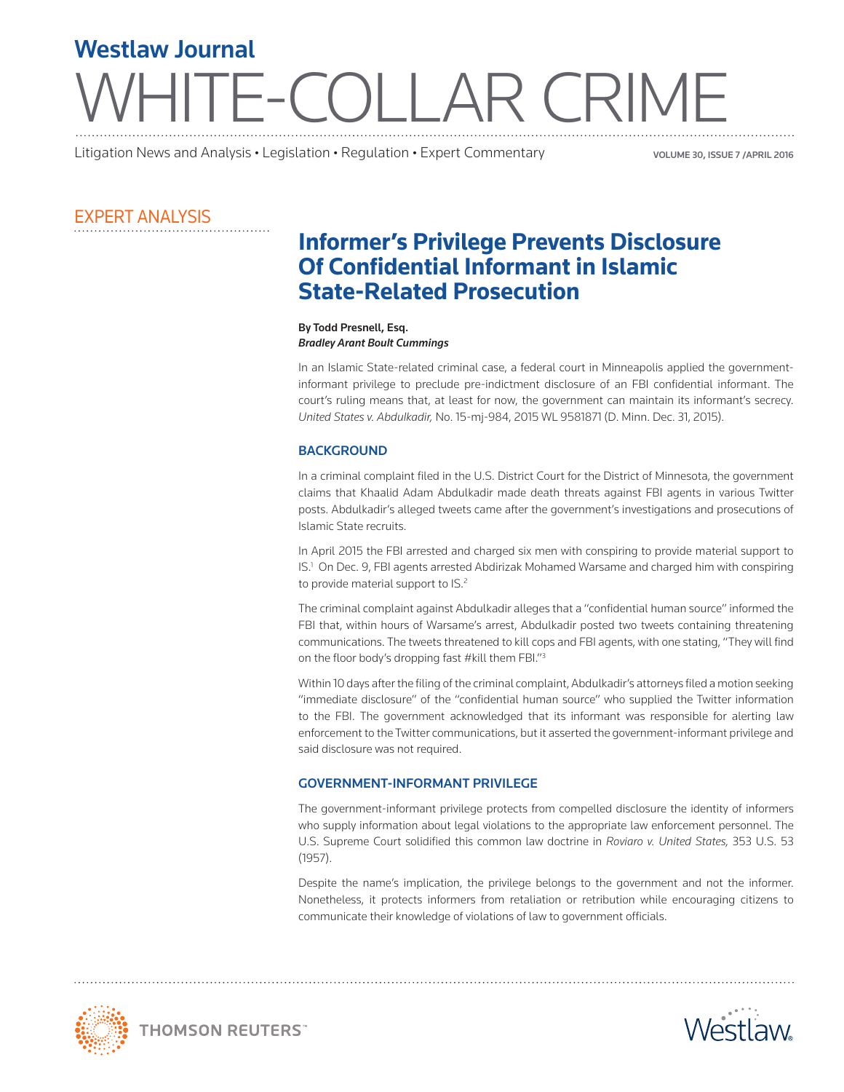# TE-COLLAR CRIME Westlaw Journal

Litigation News and Analysis • Legislation • Regulation • Expert Commentary volume 30, ISSUE 7 /APRIL 2016

# EXPERT ANALYSIS

# **Informer's Privilege Prevents Disclosure Of Confidential Informant in Islamic State-Related Prosecution**

#### By Todd Presnell, Esq. *Bradley Arant Boult Cummings*

In an Islamic State-related criminal case, a federal court in Minneapolis applied the governmentinformant privilege to preclude pre-indictment disclosure of an FBI confidential informant. The court's ruling means that, at least for now, the government can maintain its informant's secrecy. *United States v. Abdulkadir,* No. 15-mj-984, 2015 WL 9581871 (D. Minn. Dec. 31, 2015).

## **BACKGROUND**

In a criminal complaint filed in the U.S. District Court for the District of Minnesota, the government claims that Khaalid Adam Abdulkadir made death threats against FBI agents in various Twitter posts. Abdulkadir's alleged tweets came after the government's investigations and prosecutions of Islamic State recruits.

In April 2015 the FBI arrested and charged six men with conspiring to provide material support to IS.1 On Dec. 9, FBI agents arrested Abdirizak Mohamed Warsame and charged him with conspiring to provide material support to IS.<sup>2</sup>

The criminal complaint against Abdulkadir alleges that a "confidential human source" informed the FBI that, within hours of Warsame's arrest, Abdulkadir posted two tweets containing threatening communications. The tweets threatened to kill cops and FBI agents, with one stating, "They will find on the floor body's dropping fast #kill them FBI."3

Within 10 days after the filing of the criminal complaint, Abdulkadir's attorneys filed a motion seeking "immediate disclosure" of the "confidential human source" who supplied the Twitter information to the FBI. The government acknowledged that its informant was responsible for alerting law enforcement to the Twitter communications, but it asserted the government-informant privilege and said disclosure was not required.

## GOVERNMENT-INFORMANT PRIVILEGE

The government-informant privilege protects from compelled disclosure the identity of informers who supply information about legal violations to the appropriate law enforcement personnel. The U.S. Supreme Court solidified this common law doctrine in *Roviaro v. United States,* 353 U.S. 53 (1957).

Despite the name's implication, the privilege belongs to the government and not the informer. Nonetheless, it protects informers from retaliation or retribution while encouraging citizens to communicate their knowledge of violations of law to government officials.